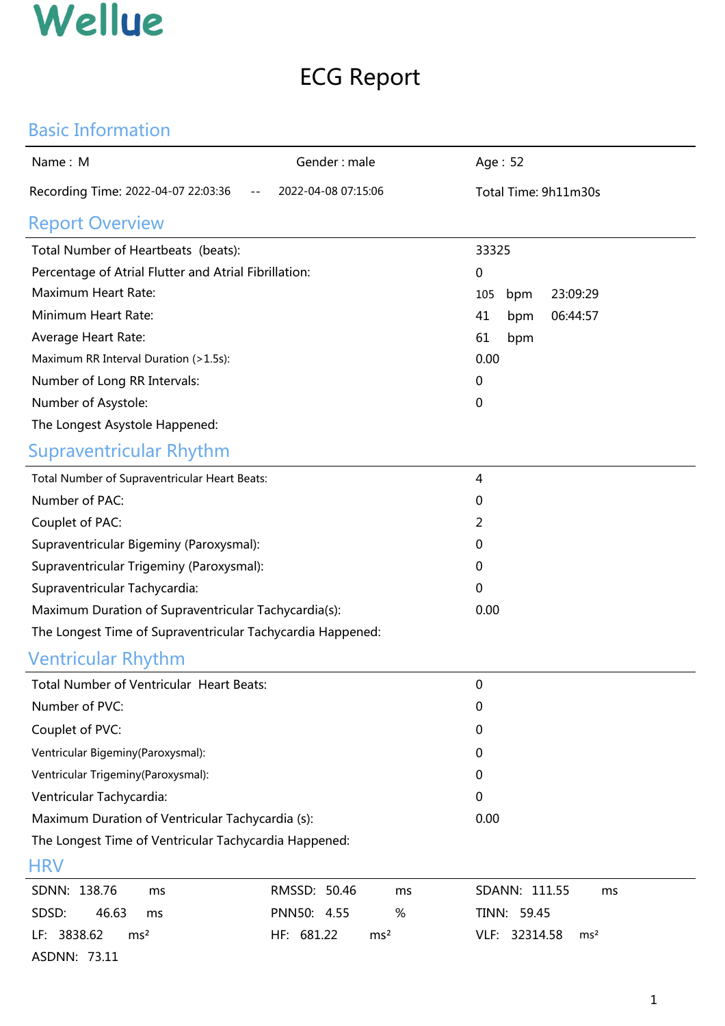## ECG Report

#### Basic Information

| Name: M                                                    | Gender: male                  | Age: 52                          |  |  |  |  |  |  |
|------------------------------------------------------------|-------------------------------|----------------------------------|--|--|--|--|--|--|
| Recording Time: 2022-04-07 22:03:36                        | 2022-04-08 07:15:06           | Total Time: 9h11m30s             |  |  |  |  |  |  |
| <b>Report Overview</b>                                     |                               |                                  |  |  |  |  |  |  |
| Total Number of Heartbeats (beats):                        |                               | 33325                            |  |  |  |  |  |  |
| Percentage of Atrial Flutter and Atrial Fibrillation:      |                               | 0                                |  |  |  |  |  |  |
| Maximum Heart Rate:                                        |                               | 105<br>23:09:29<br>bpm           |  |  |  |  |  |  |
| Minimum Heart Rate:                                        |                               | 41<br>06:44:57<br>bpm            |  |  |  |  |  |  |
| Average Heart Rate:                                        |                               | 61<br>bpm                        |  |  |  |  |  |  |
| Maximum RR Interval Duration (>1.5s):                      |                               | 0.00                             |  |  |  |  |  |  |
| Number of Long RR Intervals:                               |                               | 0                                |  |  |  |  |  |  |
| Number of Asystole:                                        |                               | 0                                |  |  |  |  |  |  |
| The Longest Asystole Happened:                             |                               |                                  |  |  |  |  |  |  |
| <b>Supraventricular Rhythm</b>                             |                               |                                  |  |  |  |  |  |  |
| Total Number of Supraventricular Heart Beats:              |                               | 4                                |  |  |  |  |  |  |
| Number of PAC:                                             |                               | 0                                |  |  |  |  |  |  |
| Couplet of PAC:                                            |                               | 2                                |  |  |  |  |  |  |
| Supraventricular Bigeminy (Paroxysmal):                    |                               | 0                                |  |  |  |  |  |  |
| Supraventricular Trigeminy (Paroxysmal):                   |                               | 0                                |  |  |  |  |  |  |
| Supraventricular Tachycardia:                              |                               | 0                                |  |  |  |  |  |  |
| Maximum Duration of Supraventricular Tachycardia(s):       |                               | 0.00                             |  |  |  |  |  |  |
| The Longest Time of Supraventricular Tachycardia Happened: |                               |                                  |  |  |  |  |  |  |
| <b>Ventricular Rhythm</b>                                  |                               |                                  |  |  |  |  |  |  |
| Total Number of Ventricular Heart Beats:                   |                               | 0                                |  |  |  |  |  |  |
| Number of PVC:                                             |                               | 0                                |  |  |  |  |  |  |
| Couplet of PVC:                                            |                               | $\mathbf 0$                      |  |  |  |  |  |  |
| Ventricular Bigeminy(Paroxysmal):                          |                               | 0                                |  |  |  |  |  |  |
| Ventricular Trigeminy(Paroxysmal):                         |                               | $\mathbf 0$                      |  |  |  |  |  |  |
| Ventricular Tachycardia:                                   |                               | $\mathbf 0$                      |  |  |  |  |  |  |
| Maximum Duration of Ventricular Tachycardia (s):           |                               | 0.00                             |  |  |  |  |  |  |
| The Longest Time of Ventricular Tachycardia Happened:      |                               |                                  |  |  |  |  |  |  |
| <b>HRV</b>                                                 |                               |                                  |  |  |  |  |  |  |
| SDNN: 138.76<br>ms                                         | RMSSD: 50.46<br>ms            | SDANN: 111.55<br>ms              |  |  |  |  |  |  |
| SDSD:<br>46.63<br>ms                                       | PNN50: 4.55<br>$\%$           | TINN: 59.45                      |  |  |  |  |  |  |
| LF: 3838.62<br>ms <sup>2</sup>                             | HF: 681.22<br>ms <sup>2</sup> | VLF: 32314.58<br>ms <sup>2</sup> |  |  |  |  |  |  |
| ASDNN: 73.11                                               |                               |                                  |  |  |  |  |  |  |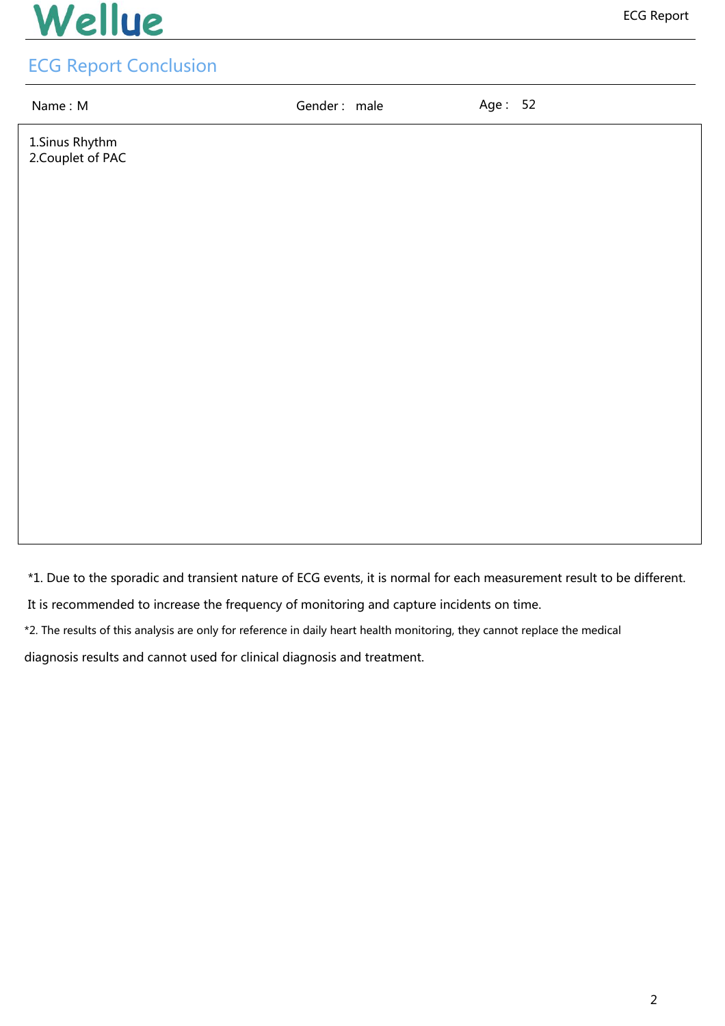Name : M<br>
Gender : male Age : 52

1.Sinus Rhythm 2.Couplet of PAC

\*1. Due to the sporadic and transient nature of ECG events, it is normal for each measurement result to be different.

It is recommended to increase the frequency of monitoring and capture incidents on time.

\*2. The results of this analysis are only for reference in daily heart health monitoring, they cannot replace the medical

diagnosis results and cannot used for clinical diagnosis and treatment.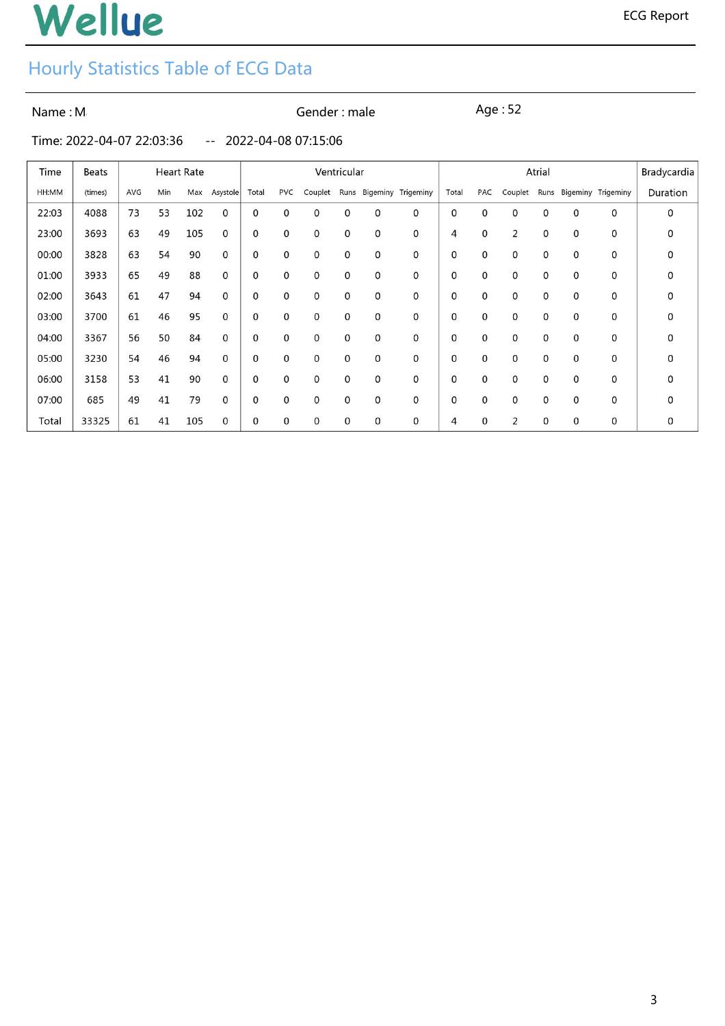## Hourly Statistics Table of ECG Data

Name : Masseum Masseum Communic Gender : male Age : 52

Time: 2022-04-07 22:03:36 -- 2022-04-08 07:15:06

| Time  | Beats   | <b>Heart Rate</b> |     |     |          | Ventricular |              |             |             |              | Atrial                    |                |              |             |   |   | Bradycardia             |             |
|-------|---------|-------------------|-----|-----|----------|-------------|--------------|-------------|-------------|--------------|---------------------------|----------------|--------------|-------------|---|---|-------------------------|-------------|
| HH:MM | (times) | AVG               | Min | Max | Asystole | Total       | <b>PVC</b>   | Couplet     | Runs        |              | <b>Bigeminy Trigeminy</b> | Total          | PAC          | Couplet     |   |   | Runs Bigeminy Trigeminy | Duration    |
| 22:03 | 4088    | 73                | 53  | 102 | 0        | 0           | 0            | 0           | 0           | 0            | 0                         | 0              | 0            | 0           | 0 | 0 | $\mathbf 0$             | 0           |
| 23:00 | 3693    | 63                | 49  | 105 | 0        | 0           | 0            | 0           | 0           | 0            | 0                         | $\overline{4}$ | $\mathbf 0$  | 2           | 0 | 0 | $\mathbf 0$             | 0           |
| 00:00 | 3828    | 63                | 54  | 90  | 0        | 0           | 0            | $\mathbf 0$ | $\mathbf 0$ | 0            | 0                         | 0              | $\mathbf{0}$ | $\mathbf 0$ | 0 | 0 | $\mathbf 0$             | $\mathbf 0$ |
| 01:00 | 3933    | 65                | 49  | 88  | 0        | 0           | 0            | 0           | $\mathbf 0$ | $\mathbf{0}$ | 0                         | 0              | 0            | 0           | 0 | 0 | 0                       | 0           |
| 02:00 | 3643    | 61                | 47  | 94  | 0        | 0           | $\mathbf{0}$ | 0           | $\mathbf 0$ | $\mathbf{0}$ | 0                         | 0              | $\mathbf 0$  | $\mathbf 0$ | 0 | 0 | 0                       | 0           |
| 03:00 | 3700    | 61                | 46  | 95  | 0        | 0           | $\mathbf{0}$ | 0           | 0           | 0            | 0                         | 0              | 0            | 0           | 0 | 0 | 0                       | 0           |
| 04:00 | 3367    | 56                | 50  | 84  | 0        | 0           | 0            | 0           | 0           | 0            | 0                         | 0              | 0            | 0           | 0 | 0 | 0                       | 0           |
| 05:00 | 3230    | 54                | 46  | 94  | 0        | 0           | 0            | 0           | 0           | 0            | 0                         | 0              | 0            | 0           | 0 | 0 | 0                       | 0           |
| 06:00 | 3158    | 53                | 41  | 90  | 0        | 0           | 0            | 0           | 0           | 0            | 0                         | 0              | 0            | 0           | 0 | 0 | 0                       | 0           |
| 07:00 | 685     | 49                | 41  | 79  | 0        | 0           | 0            | 0           | 0           | 0            | 0                         | 0              | 0            | 0           | 0 | 0 | 0                       | 0           |
| Total | 33325   | 61                | 41  | 105 | 0        | 0           | 0            | 0           | 0           | 0            | 0                         | 4              | 0            | 2           | 0 | 0 | 0                       | 0           |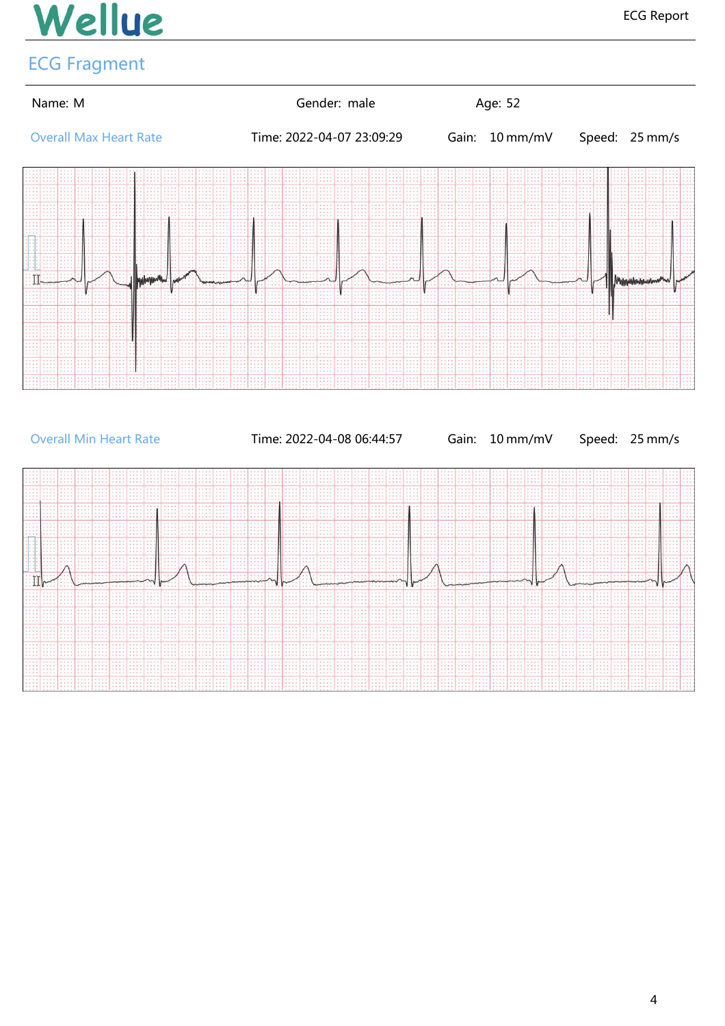### ECG Fragment